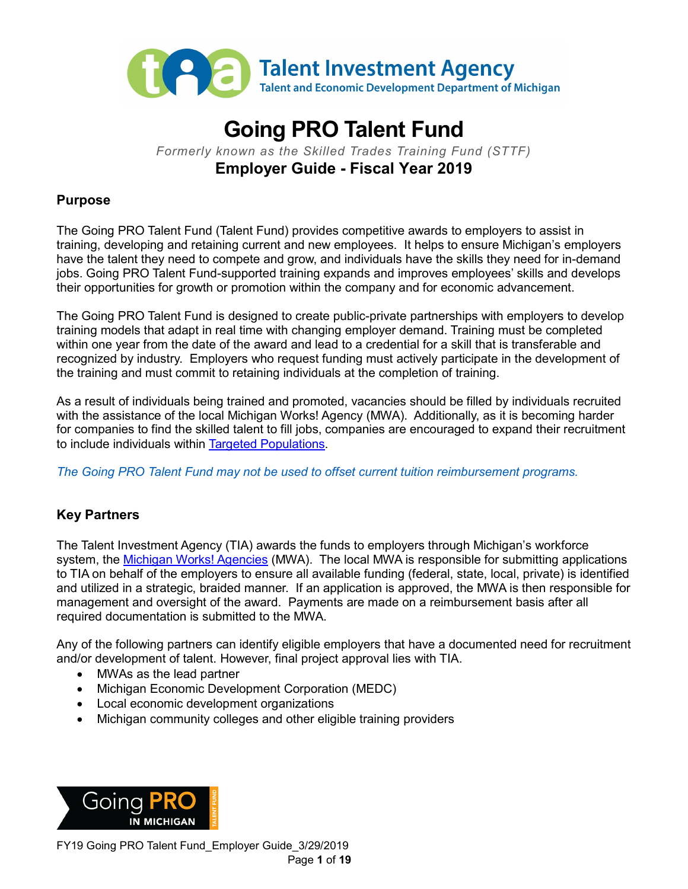

# **Going PRO Talent Fund** *Formerly known as the Skilled Trades Training Fund (STTF)*

**Employer Guide - Fiscal Year 2019**

### **Purpose**

The Going PRO Talent Fund (Talent Fund) provides competitive awards to employers to assist in training, developing and retaining current and new employees. It helps to ensure Michigan's employers have the talent they need to compete and grow, and individuals have the skills they need for in-demand jobs. Going PRO Talent Fund-supported training expands and improves employees' skills and develops their opportunities for growth or promotion within the company and for economic advancement.

The Going PRO Talent Fund is designed to create public-private partnerships with employers to develop training models that adapt in real time with changing employer demand. Training must be completed within one year from the date of the award and lead to a credential for a skill that is transferable and recognized by industry. Employers who request funding must actively participate in the development of the training and must commit to retaining individuals at the completion of training.

As a result of individuals being trained and promoted, vacancies should be filled by individuals recruited with the assistance of the local Michigan Works! Agency (MWA). Additionally, as it is becoming harder for companies to find the skilled talent to fill jobs, companies are encouraged to expand their recruitment to include individuals within [Targeted Populations.](#page-17-0)

*The Going PRO Talent Fund may not be used to offset current tuition reimbursement programs.*

# <span id="page-0-0"></span>**Key Partners**

The Talent Investment Agency (TIA) awards the funds to employers through Michigan's workforce system, the [Michigan Works! Agencies](http://www.michiganworks.org/) (MWA). The local MWA is responsible for submitting applications to TIA on behalf of the employers to ensure all available funding (federal, state, local, private) is identified and utilized in a strategic, braided manner. If an application is approved, the MWA is then responsible for management and oversight of the award. Payments are made on a reimbursement basis after all required documentation is submitted to the MWA.

Any of the following partners can identify eligible employers that have a documented need for recruitment and/or development of talent. However, final project approval lies with TIA.

- MWAs as the lead partner
- Michigan Economic Development Corporation (MEDC)
- Local economic development organizations
- Michigan community colleges and other eligible training providers

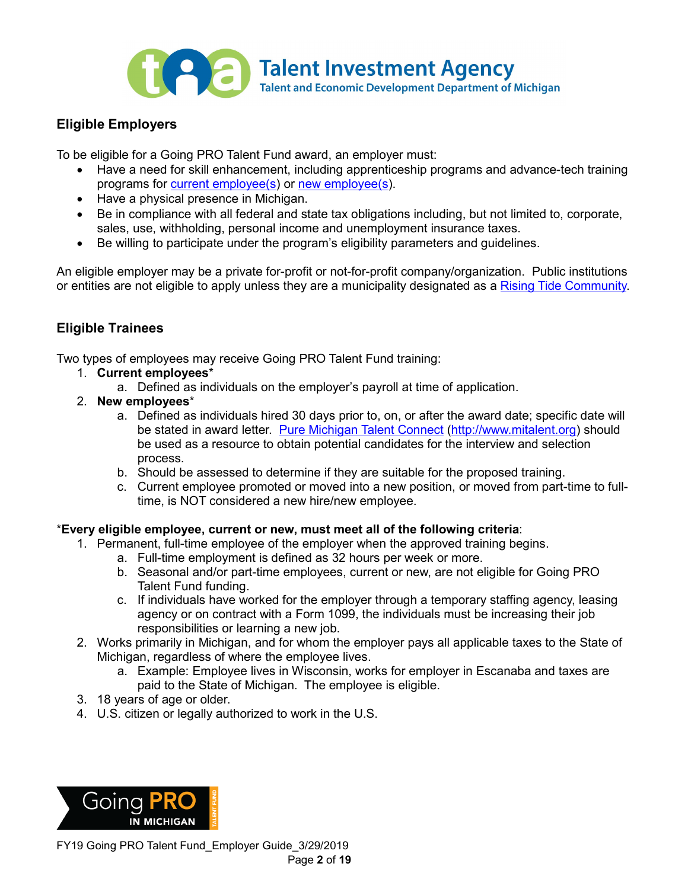

# **Eligible Employers**

To be eligible for a Going PRO Talent Fund award, an employer must:

- Have a need for skill enhancement, including apprenticeship programs and advance-tech training programs for **current employee(s)** or [new employee\(s\)](#page-17-1).
- Have a physical presence in Michigan.
- Be in compliance with all federal and state tax obligations including, but not limited to, corporate, sales, use, withholding, personal income and unemployment insurance taxes.
- Be willing to participate under the program's eligibility parameters and guidelines.

An eligible employer may be a private for-profit or not-for-profit company/organization. Public institutions or entities are not eligible to apply unless they are a municipality designated as a [Rising Tide Community.](#page-17-2)

# **Eligible Trainees**

Two types of employees may receive Going PRO Talent Fund training:

- 1. **Current employees**\*
	- a. Defined as individuals on the employer's payroll at time of application.
- 2. **New employees**\*
	- a. Defined as individuals hired 30 days prior to, on, or after the award date; specific date will be stated in award letter. Pure Michigan Talent Connect [\(http://www.mitalent.org\)](http://www.mitalent.org/) should be used as a resource to obtain potential candidates for the interview and selection process.
	- b. Should be assessed to determine if they are suitable for the proposed training.
	- c. Current employee promoted or moved into a new position, or moved from part-time to fulltime, is NOT considered a new hire/new employee.

#### \***Every eligible employee, current or new, must meet all of the following criteria**:

- 1. Permanent, full-time employee of the employer when the approved training begins.
	- a. Full-time employment is defined as 32 hours per week or more.
	- b. Seasonal and/or part-time employees, current or new, are not eligible for Going PRO Talent Fund funding.
	- c. If individuals have worked for the employer through a temporary staffing agency, leasing agency or on contract with a Form 1099, the individuals must be increasing their job responsibilities or learning a new job.
- 2. Works primarily in Michigan, and for whom the employer pays all applicable taxes to the State of Michigan, regardless of where the employee lives.
	- a. Example: Employee lives in Wisconsin, works for employer in Escanaba and taxes are paid to the State of Michigan. The employee is eligible.
- 3. 18 years of age or older.
- 4. U.S. citizen or legally authorized to work in the U.S.

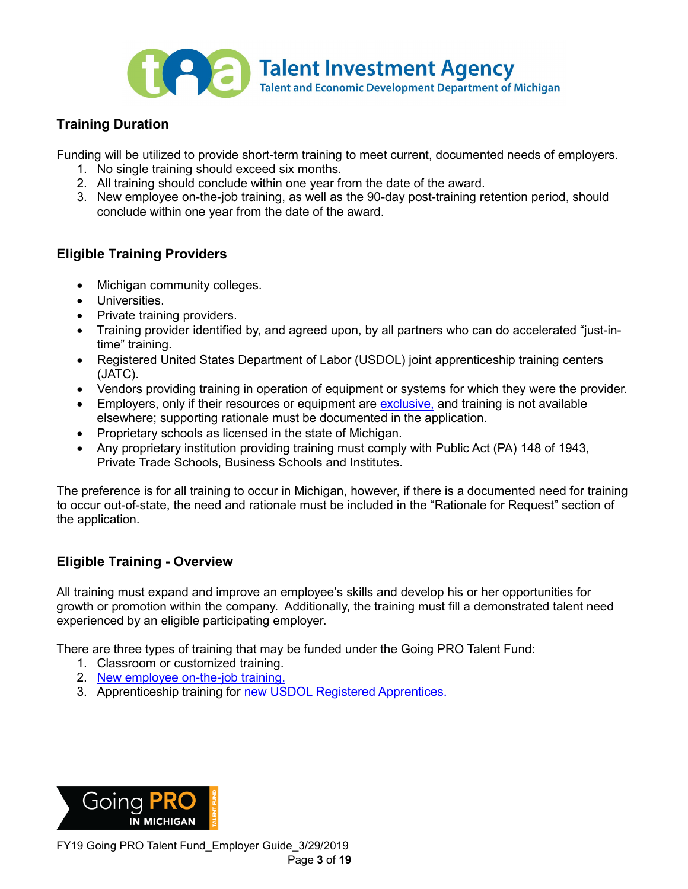

# **Training Duration**

Funding will be utilized to provide short-term training to meet current, documented needs of employers.

- 1. No single training should exceed six months.
- 2. All training should conclude within one year from the date of the award.
- 3. New employee on-the-job training, as well as the 90-day post-training retention period, should conclude within one year from the date of the award.

# **Eligible Training Providers**

- Michigan community colleges.
- Universities.
- Private training providers.
- Training provider identified by, and agreed upon, by all partners who can do accelerated "just-intime" training.
- Registered United States Department of Labor (USDOL) joint apprenticeship training centers (JATC).
- Vendors providing training in operation of equipment or systems for which they were the provider.
- Employers, only if their resources or equipment are [exclusive,](#page-16-1) and training is not available elsewhere; supporting rationale must be documented in the application.
- Proprietary schools as licensed in the state of Michigan.
- Any proprietary institution providing training must comply with Public Act (PA) 148 of 1943, Private Trade Schools, Business Schools and Institutes.

The preference is for all training to occur in Michigan, however, if there is a documented need for training to occur out-of-state, the need and rationale must be included in the "Rationale for Request" section of the application.

# **Eligible Training - Overview**

All training must expand and improve an employee's skills and develop his or her opportunities for growth or promotion within the company. Additionally, the training must fill a demonstrated talent need experienced by an eligible participating employer.

There are three types of training that may be funded under the Going PRO Talent Fund:

- 1. Classroom or customized training.
- 2. [New employee on-the-job training.](#page-17-3)
- 3. Apprenticeship training for [new USDOL Registered Apprentices.](#page-5-0)

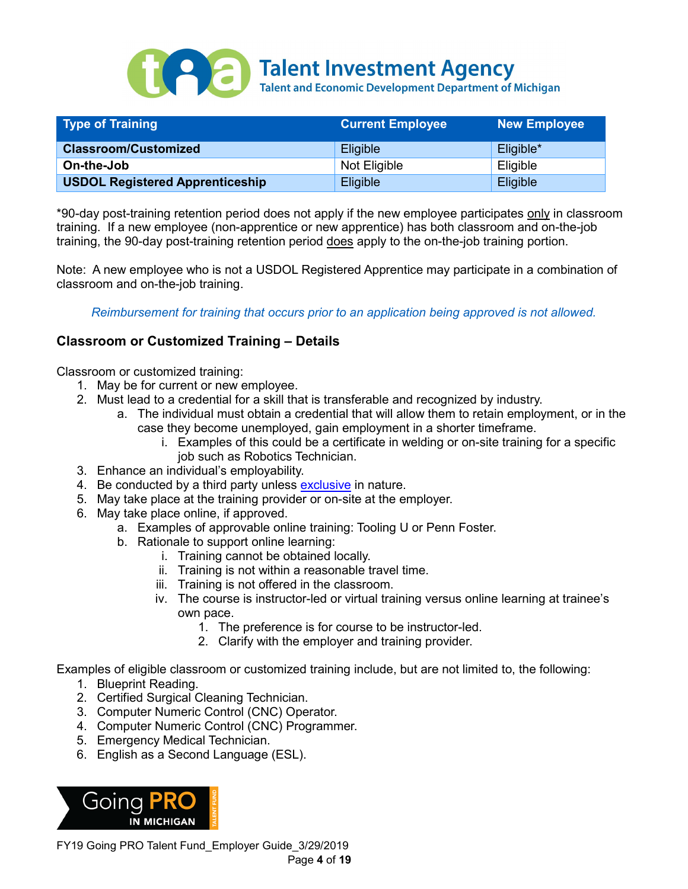

| <b>Type of Training</b>                | <b>Current Employee</b> | <b>New Employee</b> |
|----------------------------------------|-------------------------|---------------------|
| <b>Classroom/Customized</b>            | <b>Eligible</b>         | Eligible*           |
| On-the-Job                             | Not Eligible            | Eligible            |
| <b>USDOL Registered Apprenticeship</b> | Eligible                | <b>Eligible</b>     |

\*90-day post-training retention period does not apply if the new employee participates only in classroom training. If a new employee (non-apprentice or new apprentice) has both classroom and on-the-job training, the 90-day post-training retention period does apply to the on-the-job training portion.

Note: A new employee who is not a USDOL Registered Apprentice may participate in a combination of classroom and on-the-job training.

*Reimbursement for training that occurs prior to an application being approved is not allowed.*

# **Classroom or Customized Training – Details**

Classroom or customized training:

- 1. May be for current or new employee.
- 2. Must lead to a credential for a skill that is transferable and recognized by industry.
	- a. The individual must obtain a credential that will allow them to retain employment, or in the case they become unemployed, gain employment in a shorter timeframe.
		- i. Examples of this could be a certificate in welding or on-site training for a specific job such as Robotics Technician.
- 3. Enhance an individual's employability.
- 4. Be conducted by a third party unless [exclusive](#page-16-1) in nature.
- 5. May take place at the training provider or on-site at the employer.
- 6. May take place online, if approved.
	- a. Examples of approvable online training: Tooling U or Penn Foster.
	- b. Rationale to support online learning:
		- i. Training cannot be obtained locally.
		- ii. Training is not within a reasonable travel time.
		- iii. Training is not offered in the classroom.
		- iv. The course is instructor-led or virtual training versus online learning at trainee's own pace.
			- 1. The preference is for course to be instructor-led.
			- 2. Clarify with the employer and training provider.

Examples of eligible classroom or customized training include, but are not limited to, the following:

- 1. Blueprint Reading.
- 2. Certified Surgical Cleaning Technician.
- 3. Computer Numeric Control (CNC) Operator.
- 4. Computer Numeric Control (CNC) Programmer.
- 5. Emergency Medical Technician.
- 6. English as a Second Language (ESL).



FY19 Going PRO Talent Fund\_Employer Guide\_3/29/2019 Page **4** of **19**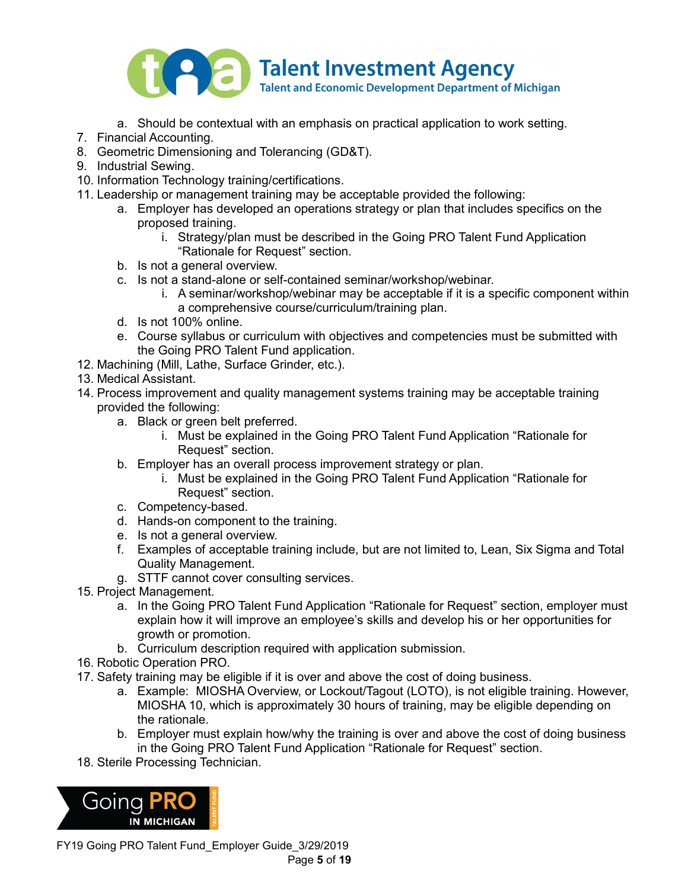

- a. Should be contextual with an emphasis on practical application to work setting.
- 7. Financial Accounting.
- 8. Geometric Dimensioning and Tolerancing (GD&T).
- 9. Industrial Sewing.
- 10. Information Technology training/certifications.
- 11. Leadership or management training may be acceptable provided the following:
	- a. Employer has developed an operations strategy or plan that includes specifics on the proposed training.
		- i. Strategy/plan must be described in the Going PRO Talent Fund Application "Rationale for Request" section.
	- b. Is not a general overview.
	- c. Is not a stand-alone or self-contained seminar/workshop/webinar.
		- i. A seminar/workshop/webinar may be acceptable if it is a specific component within a comprehensive course/curriculum/training plan.
	- d. Is not 100% online.
	- e. Course syllabus or curriculum with objectives and competencies must be submitted with the Going PRO Talent Fund application.
- 12. Machining (Mill, Lathe, Surface Grinder, etc.).
- 13. Medical Assistant.
- 14. Process improvement and quality management systems training may be acceptable training provided the following:
	- a. Black or green belt preferred.
		- i. Must be explained in the Going PRO Talent Fund Application "Rationale for Request" section.
	- b. Employer has an overall process improvement strategy or plan.
		- i. Must be explained in the Going PRO Talent Fund Application "Rationale for Request" section.
	- c. Competency-based.
	- d. Hands-on component to the training.
	- e. Is not a general overview.
	- f. Examples of acceptable training include, but are not limited to, Lean, Six Sigma and Total Quality Management.
	- g. STTF cannot cover consulting services.
- 15. Project Management.
	- a. In the Going PRO Talent Fund Application "Rationale for Request" section, employer must explain how it will improve an employee's skills and develop his or her opportunities for growth or promotion.
	- b. Curriculum description required with application submission.
- 16. Robotic Operation PRO.
- 17. Safety training may be eligible if it is over and above the cost of doing business.
	- a. Example: MIOSHA Overview, or Lockout/Tagout (LOTO), is not eligible training. However, MIOSHA 10, which is approximately 30 hours of training, may be eligible depending on the rationale.
	- b. Employer must explain how/why the training is over and above the cost of doing business in the Going PRO Talent Fund Application "Rationale for Request" section.
- 18. Sterile Processing Technician.



FY19 Going PRO Talent Fund\_Employer Guide\_3/29/2019 Page **5** of **19**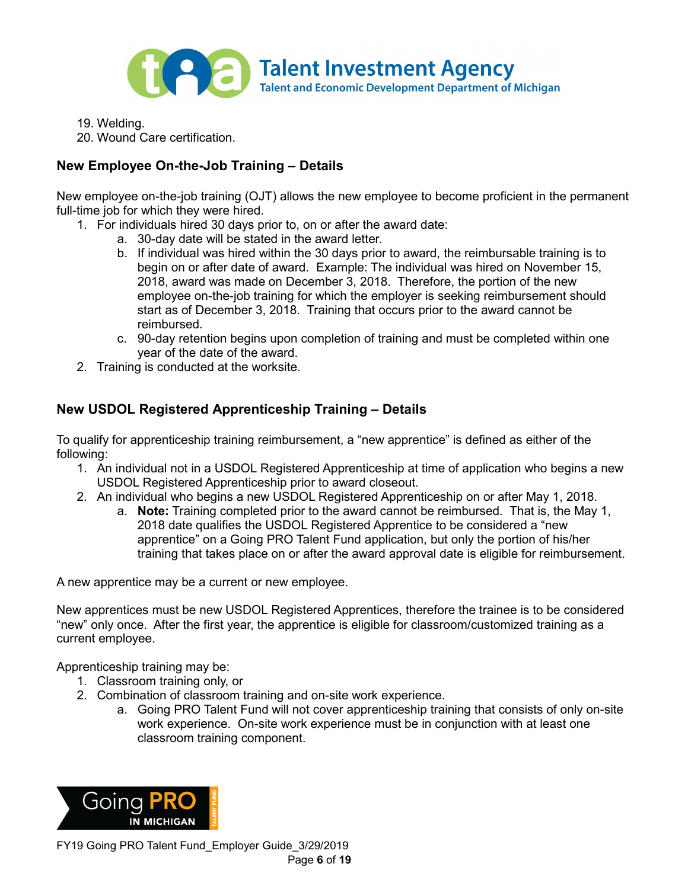

19. Welding.

20. Wound Care certification.

# **New Employee On-the-Job Training – Details**

New employee on-the-job training (OJT) allows the new employee to become proficient in the permanent full-time job for which they were hired.

- 1. For individuals hired 30 days prior to, on or after the award date:
	- a. 30-day date will be stated in the award letter.
	- b. If individual was hired within the 30 days prior to award, the reimbursable training is to begin on or after date of award. Example: The individual was hired on November 15, 2018, award was made on December 3, 2018. Therefore, the portion of the new employee on-the-job training for which the employer is seeking reimbursement should start as of December 3, 2018. Training that occurs prior to the award cannot be reimbursed.
	- c. 90-day retention begins upon completion of training and must be completed within one year of the date of the award.
- 2. Training is conducted at the worksite.

# <span id="page-5-0"></span>**New USDOL Registered Apprenticeship Training – Details**

To qualify for apprenticeship training reimbursement, a "new apprentice" is defined as either of the following:

- 1. An individual not in a USDOL Registered Apprenticeship at time of application who begins a new USDOL Registered Apprenticeship prior to award closeout.
- 2. An individual who begins a new USDOL Registered Apprenticeship on or after May 1, 2018.
	- a. **Note:** Training completed prior to the award cannot be reimbursed. That is, the May 1, 2018 date qualifies the USDOL Registered Apprentice to be considered a "new apprentice" on a Going PRO Talent Fund application, but only the portion of his/her training that takes place on or after the award approval date is eligible for reimbursement.

A new apprentice may be a current or new employee.

New apprentices must be new USDOL Registered Apprentices, therefore the trainee is to be considered "new" only once. After the first year, the apprentice is eligible for classroom/customized training as a current employee.

Apprenticeship training may be:

- 1. Classroom training only, or
- 2. Combination of classroom training and on-site work experience.
	- a. Going PRO Talent Fund will not cover apprenticeship training that consists of only on-site work experience. On-site work experience must be in conjunction with at least one classroom training component.

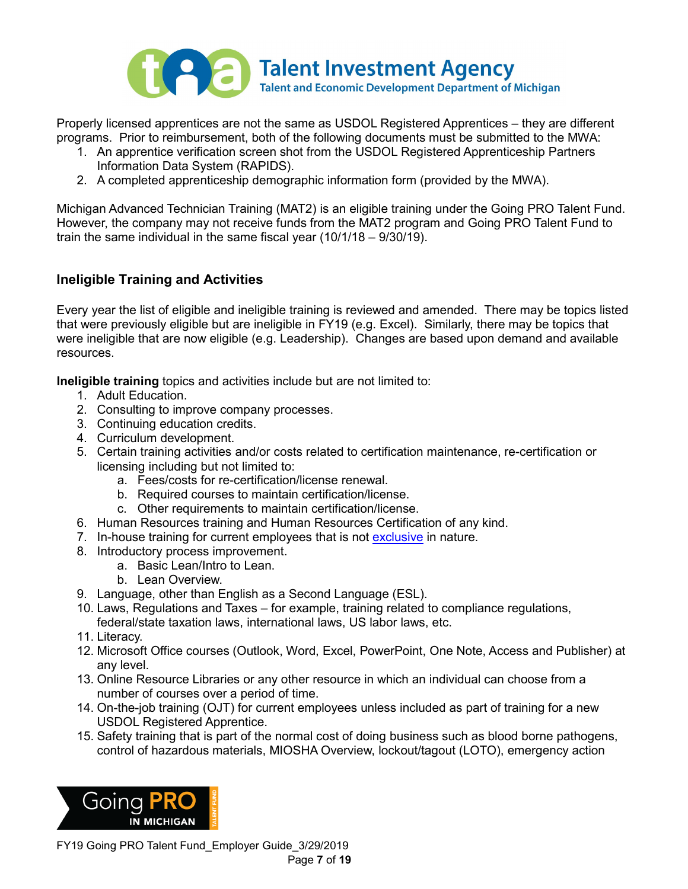

Properly licensed apprentices are not the same as USDOL Registered Apprentices – they are different programs. Prior to reimbursement, both of the following documents must be submitted to the MWA:

- 1. An apprentice verification screen shot from the USDOL Registered Apprenticeship Partners Information Data System (RAPIDS).
- 2. A completed apprenticeship demographic information form (provided by the MWA).

Michigan Advanced Technician Training (MAT2) is an eligible training under the Going PRO Talent Fund. However, the company may not receive funds from the MAT2 program and Going PRO Talent Fund to train the same individual in the same fiscal year (10/1/18 – 9/30/19).

# **Ineligible Training and Activities**

Every year the list of eligible and ineligible training is reviewed and amended. There may be topics listed that were previously eligible but are ineligible in FY19 (e.g. Excel). Similarly, there may be topics that were ineligible that are now eligible (e.g. Leadership). Changes are based upon demand and available resources.

**Ineligible training** topics and activities include but are not limited to:

- 1. Adult Education.
- 2. Consulting to improve company processes.
- 3. Continuing education credits.
- 4. Curriculum development.
- 5. Certain training activities and/or costs related to certification maintenance, re-certification or licensing including but not limited to:
	- a. Fees/costs for re-certification/license renewal.
	- b. Required courses to maintain certification/license.
	- c. Other requirements to maintain certification/license.
- 6. Human Resources training and Human Resources Certification of any kind.
- 7. In-house training for current employees that is not [exclusive](#page-16-1) in nature.
- 8. Introductory process improvement.
	- a. Basic Lean/Intro to Lean.
	- b. Lean Overview.
- 9. Language, other than English as a Second Language (ESL).
- 10. Laws, Regulations and Taxes for example, training related to compliance regulations, federal/state taxation laws, international laws, US labor laws, etc.
- 11. Literacy.
- 12. Microsoft Office courses (Outlook, Word, Excel, PowerPoint, One Note, Access and Publisher) at any level.
- 13. Online Resource Libraries or any other resource in which an individual can choose from a number of courses over a period of time.
- 14. On-the-job training (OJT) for current employees unless included as part of training for a new USDOL Registered Apprentice.
- 15. Safety training that is part of the normal cost of doing business such as blood borne pathogens, control of hazardous materials, MIOSHA Overview, lockout/tagout (LOTO), emergency action

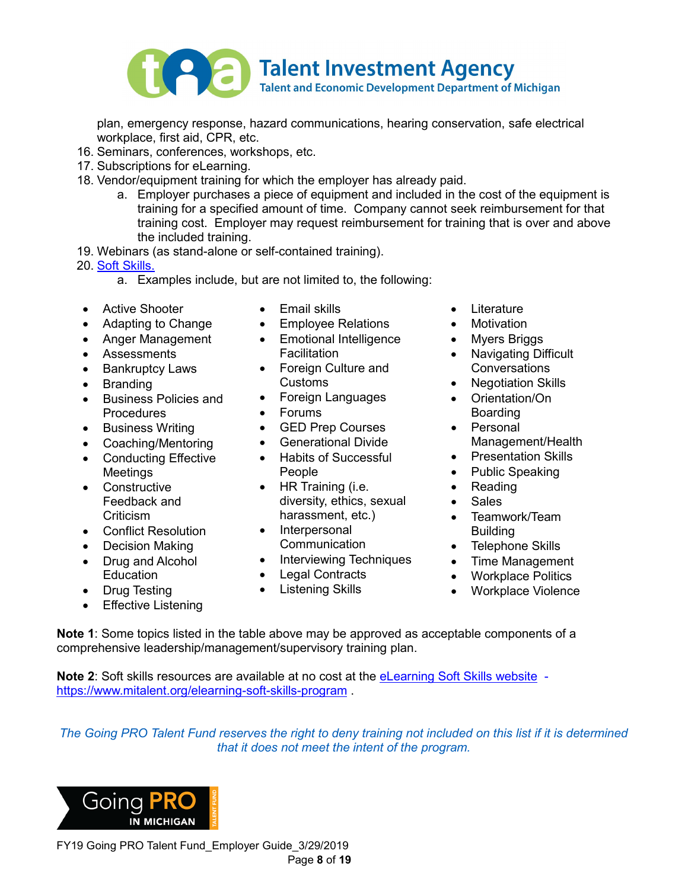

plan, emergency response, hazard communications, hearing conservation, safe electrical workplace, first aid, CPR, etc.

- 16. Seminars, conferences, workshops, etc.
- 17. Subscriptions for eLearning.
- 18. Vendor/equipment training for which the employer has already paid.
	- a. Employer purchases a piece of equipment and included in the cost of the equipment is training for a specified amount of time. Company cannot seek reimbursement for that training cost. Employer may request reimbursement for training that is over and above the included training.
- 19. Webinars (as stand-alone or self-contained training).
- 20. [Soft Skills.](#page-17-4)
	- a. Examples include, but are not limited to, the following:
- Active Shooter
- Adapting to Change
- Anger Management
- Assessments
- Bankruptcy Laws
- Branding
- Business Policies and Procedures
- Business Writing
- Coaching/Mentoring
- Conducting Effective Meetings
- Constructive Feedback and **Criticism**
- Conflict Resolution
- Decision Making
- Drug and Alcohol Education
- Drug Testing
- Effective Listening
- Email skills
- Employee Relations
- Emotional Intelligence Facilitation
- Foreign Culture and Customs
- Foreign Languages
- Forums
- GED Prep Courses
- Generational Divide
- Habits of Successful People
- HR Training (i.e. diversity, ethics, sexual harassment, etc.)
- Interpersonal Communication
- Interviewing Techniques
- Legal Contracts
- Listening Skills
- Literature
- Motivation
- Myers Briggs
- Navigating Difficult **Conversations**
- Negotiation Skills
- Orientation/On Boarding
- Personal Management/Health
- Presentation Skills
- Public Speaking
- Reading
- Sales
- Teamwork/Team Building
- Telephone Skills
- Time Management
- Workplace Politics
- Workplace Violence

**Note 1**: Some topics listed in the table above may be approved as acceptable components of a comprehensive leadership/management/supervisory training plan.

**Note 2**: Soft skills resources are available at no cost at the [eLearning Soft Skills website](http://www.mitalent.org/elearning-soft-skills-program) <https://www.mitalent.org/elearning-soft-skills-program> .

*The Going PRO Talent Fund reserves the right to deny training not included on this list if it is determined that it does not meet the intent of the program.*

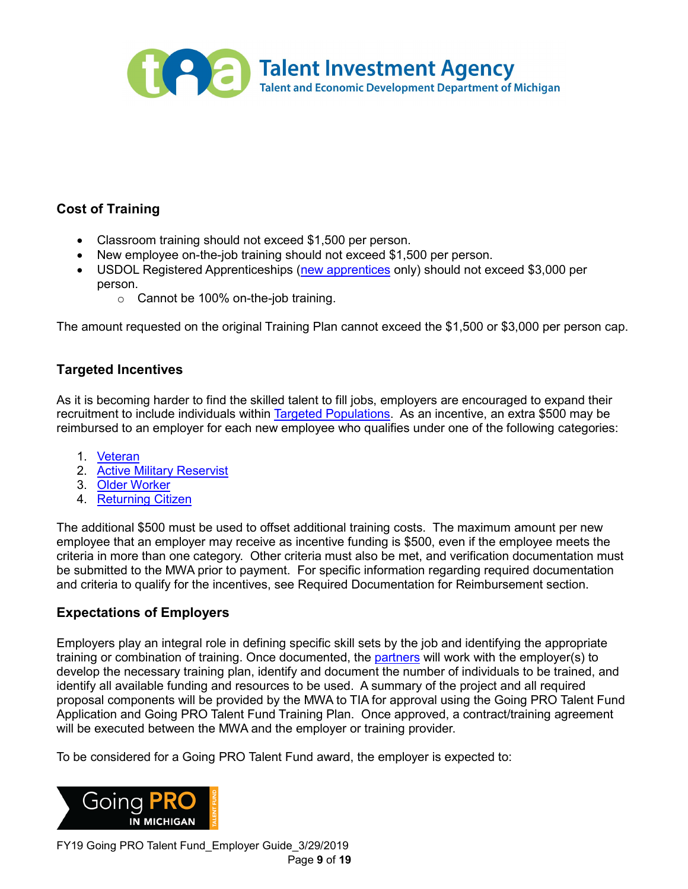

# **Cost of Training**

- Classroom training should not exceed \$1,500 per person.
- New employee on-the-job training should not exceed \$1,500 per person.
- USDOL Registered Apprenticeships [\(new apprentices](#page-5-0) only) should not exceed \$3,000 per person.
	- o Cannot be 100% on-the-job training.

The amount requested on the original Training Plan cannot exceed the \$1,500 or \$3,000 per person cap.

# **Targeted Incentives**

As it is becoming harder to find the skilled talent to fill jobs, employers are encouraged to expand their recruitment to include individuals within [Targeted Populations.](#page-17-0) As an incentive, an extra \$500 may be reimbursed to an employer for each new employee who qualifies under one of the following categories:

- 1. [Veteran](#page-18-0)
- 2. [Active Military Reservist](#page-16-2)
- 3. [Older Worker](#page-17-5)
- 4. [Returning Citizen](#page-17-6)

The additional \$500 must be used to offset additional training costs. The maximum amount per new employee that an employer may receive as incentive funding is \$500, even if the employee meets the criteria in more than one category. Other criteria must also be met, and verification documentation must be submitted to the MWA prior to payment. For specific information regarding required documentation and criteria to qualify for the incentives, see Required Documentation for Reimbursement section.

# **Expectations of Employers**

Employers play an integral role in defining specific skill sets by the job and identifying the appropriate training or combination of training. Once documented, the [partners](#page-0-0) will work with the employer(s) to develop the necessary training plan, identify and document the number of individuals to be trained, and identify all available funding and resources to be used. A summary of the project and all required proposal components will be provided by the MWA to TIA for approval using the Going PRO Talent Fund Application and Going PRO Talent Fund Training Plan. Once approved, a contract/training agreement will be executed between the MWA and the employer or training provider.

To be considered for a Going PRO Talent Fund award, the employer is expected to:



FY19 Going PRO Talent Fund\_Employer Guide\_3/29/2019 Page **9** of **19**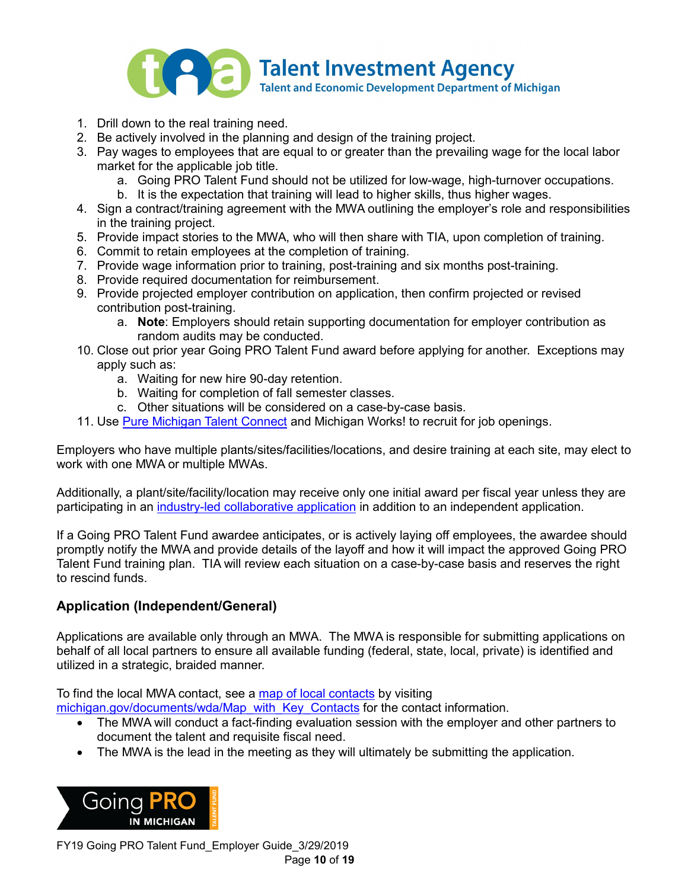

- 1. Drill down to the real training need.
- 2. Be actively involved in the planning and design of the training project.
- 3. Pay wages to employees that are equal to or greater than the prevailing wage for the local labor market for the applicable job title.
	- a. Going PRO Talent Fund should not be utilized for low-wage, high-turnover occupations.
	- b. It is the expectation that training will lead to higher skills, thus higher wages.
- 4. Sign a contract/training agreement with the MWA outlining the employer's role and responsibilities in the training project.
- 5. Provide impact stories to the MWA, who will then share with TIA, upon completion of training.
- 6. Commit to retain employees at the completion of training.
- 7. Provide wage information prior to training, post-training and six months post-training.
- 8. Provide required documentation for reimbursement.
- 9. Provide projected employer contribution on application, then confirm projected or revised contribution post-training.
	- a. **Note**: Employers should retain supporting documentation for employer contribution as random audits may be conducted.
- 10. Close out prior year Going PRO Talent Fund award before applying for another. Exceptions may apply such as:
	- a. Waiting for new hire 90-day retention.
	- b. Waiting for completion of fall semester classes.
	- c. Other situations will be considered on a case-by-case basis.
- 11. Use [Pure Michigan Talent Connect](http://www.mitalent.org/) and Michigan Works! to recruit for job openings.

Employers who have multiple plants/sites/facilities/locations, and desire training at each site, may elect to work with one MWA or multiple MWAs.

Additionally, a plant/site/facility/location may receive only one initial award per fiscal year unless they are participating in an [industry-led collaborative application](#page-10-0) in addition to an independent application.

If a Going PRO Talent Fund awardee anticipates, or is actively laying off employees, the awardee should promptly notify the MWA and provide details of the layoff and how it will impact the approved Going PRO Talent Fund training plan. TIA will review each situation on a case-by-case basis and reserves the right to rescind funds.

# **Application (Independent/General)**

Applications are available only through an MWA. The MWA is responsible for submitting applications on behalf of all local partners to ensure all available funding (federal, state, local, private) is identified and utilized in a strategic, braided manner.

To find the local MWA contact, see a [map of local contacts](http://www.michigan.gov/documents/wda/Map_with_Key_Contacts_434690_7.pdf) by visiting [michigan.gov/documents/wda/Map\\_with\\_Key\\_Contacts](http://www.michigan.gov/documents/wda/Map_with_Key_Contacts_434690_7.pdf) for the contact information.

- The MWA will conduct a fact-finding evaluation session with the employer and other partners to document the talent and requisite fiscal need.
- The MWA is the lead in the meeting as they will ultimately be submitting the application.



FY19 Going PRO Talent Fund\_Employer Guide\_3/29/2019 Page **10** of **19**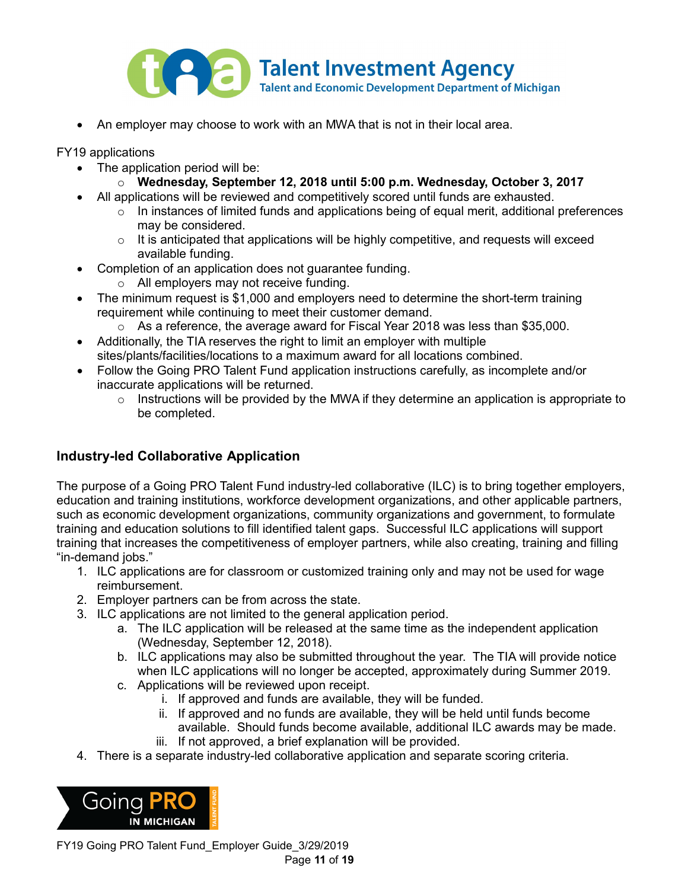

• An employer may choose to work with an MWA that is not in their local area.

FY19 applications

- The application period will be:
	- o **Wednesday, September 12, 2018 until 5:00 p.m. Wednesday, October 3, 2017**
- All applications will be reviewed and competitively scored until funds are exhausted.
	- $\circ$  In instances of limited funds and applications being of equal merit, additional preferences may be considered.
	- $\circ$  It is anticipated that applications will be highly competitive, and requests will exceed available funding.
- Completion of an application does not guarantee funding.
	- o All employers may not receive funding.
- The minimum request is \$1,000 and employers need to determine the short-term training requirement while continuing to meet their customer demand.
	- o As a reference, the average award for Fiscal Year 2018 was less than \$35,000.
- Additionally, the TIA reserves the right to limit an employer with multiple sites/plants/facilities/locations to a maximum award for all locations combined.
- Follow the Going PRO Talent Fund application instructions carefully, as incomplete and/or inaccurate applications will be returned.
	- $\circ$  Instructions will be provided by the MWA if they determine an application is appropriate to be completed.

# <span id="page-10-0"></span>**Industry-led Collaborative Application**

The purpose of a Going PRO Talent Fund industry-led collaborative (ILC) is to bring together employers, education and training institutions, workforce development organizations, and other applicable partners, such as economic development organizations, community organizations and government, to formulate training and education solutions to fill identified talent gaps. Successful ILC applications will support training that increases the competitiveness of employer partners, while also creating, training and filling "in-demand jobs."

- 1. ILC applications are for classroom or customized training only and may not be used for wage reimbursement.
- 2. Employer partners can be from across the state.
- 3. ILC applications are not limited to the general application period.
	- a. The ILC application will be released at the same time as the independent application (Wednesday, September 12, 2018).
	- b. ILC applications may also be submitted throughout the year. The TIA will provide notice when ILC applications will no longer be accepted, approximately during Summer 2019.
	- c. Applications will be reviewed upon receipt.
		- i. If approved and funds are available, they will be funded.
		- ii. If approved and no funds are available, they will be held until funds become available. Should funds become available, additional ILC awards may be made.
		- iii. If not approved, a brief explanation will be provided.
- 4. There is a separate industry-led collaborative application and separate scoring criteria.



FY19 Going PRO Talent Fund\_Employer Guide\_3/29/2019 Page **11** of **19**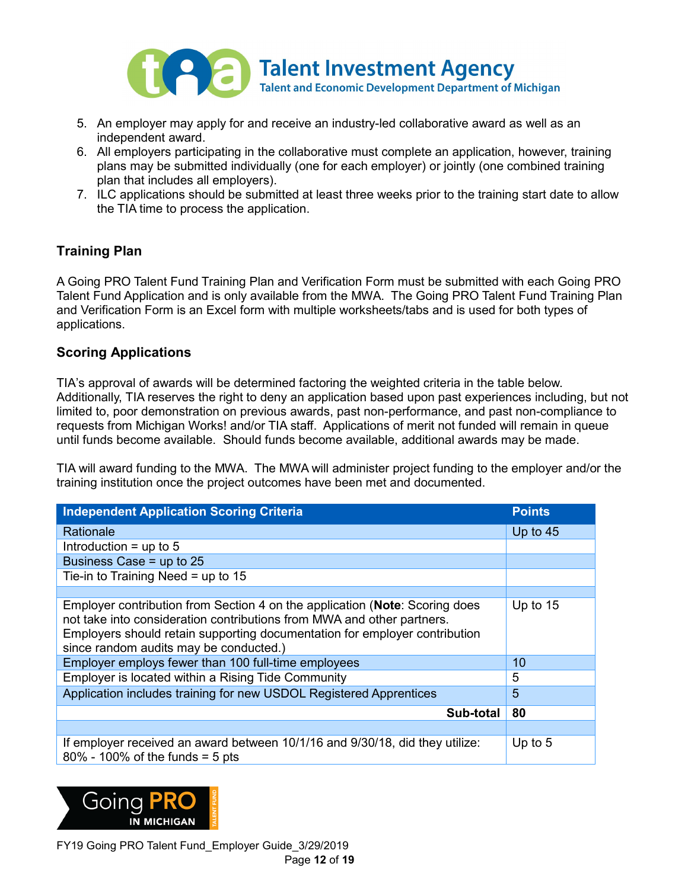

- 5. An employer may apply for and receive an industry-led collaborative award as well as an independent award.
- 6. All employers participating in the collaborative must complete an application, however, training plans may be submitted individually (one for each employer) or jointly (one combined training plan that includes all employers).
- 7. ILC applications should be submitted at least three weeks prior to the training start date to allow the TIA time to process the application.

# **Training Plan**

A Going PRO Talent Fund Training Plan and Verification Form must be submitted with each Going PRO Talent Fund Application and is only available from the MWA. The Going PRO Talent Fund Training Plan and Verification Form is an Excel form with multiple worksheets/tabs and is used for both types of applications.

# **Scoring Applications**

TIA's approval of awards will be determined factoring the weighted criteria in the table below. Additionally, TIA reserves the right to deny an application based upon past experiences including, but not limited to, poor demonstration on previous awards, past non-performance, and past non-compliance to requests from Michigan Works! and/or TIA staff. Applications of merit not funded will remain in queue until funds become available. Should funds become available, additional awards may be made.

TIA will award funding to the MWA. The MWA will administer project funding to the employer and/or the training institution once the project outcomes have been met and documented.

| <b>Independent Application Scoring Criteria</b>                                                                                                                                                                                                                               | <b>Points</b> |
|-------------------------------------------------------------------------------------------------------------------------------------------------------------------------------------------------------------------------------------------------------------------------------|---------------|
| Rationale                                                                                                                                                                                                                                                                     | Up to $45$    |
| Introduction $=$ up to 5                                                                                                                                                                                                                                                      |               |
| Business Case = up to 25                                                                                                                                                                                                                                                      |               |
| Tie-in to Training Need = up to $15$                                                                                                                                                                                                                                          |               |
|                                                                                                                                                                                                                                                                               |               |
| Employer contribution from Section 4 on the application (Note: Scoring does<br>not take into consideration contributions from MWA and other partners.<br>Employers should retain supporting documentation for employer contribution<br>since random audits may be conducted.) | Up to $15$    |
| Employer employs fewer than 100 full-time employees                                                                                                                                                                                                                           | 10            |
| Employer is located within a Rising Tide Community                                                                                                                                                                                                                            | 5             |
| Application includes training for new USDOL Registered Apprentices                                                                                                                                                                                                            | 5             |
| Sub-total                                                                                                                                                                                                                                                                     | 80            |
|                                                                                                                                                                                                                                                                               |               |
| If employer received an award between 10/1/16 and 9/30/18, did they utilize:<br>$80\%$ - 100% of the funds = 5 pts                                                                                                                                                            | Up to $5$     |

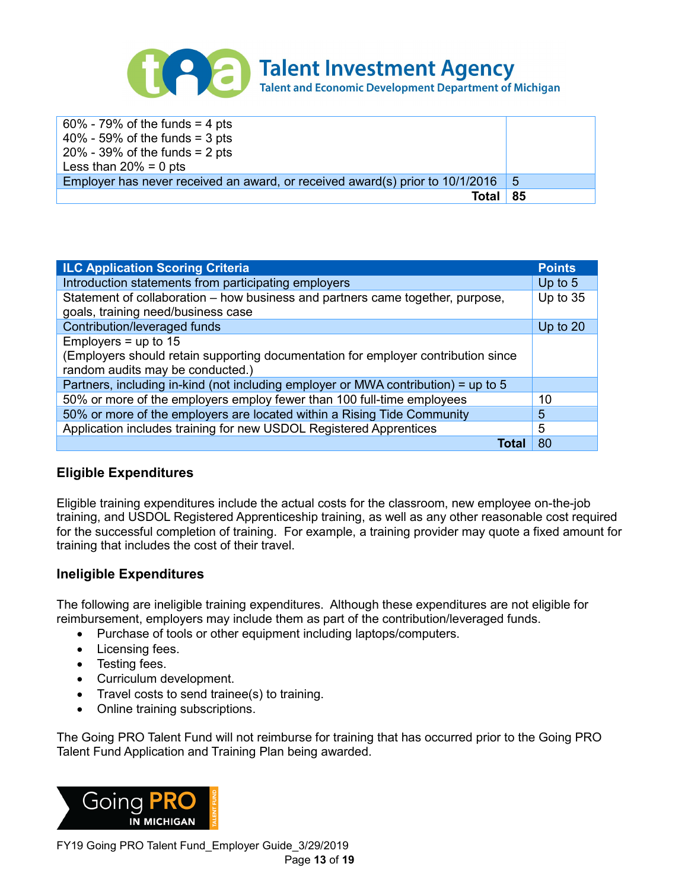

| $60\%$ - 79% of the funds = 4 pts<br>$40\%$ - 59% of the funds = 3 pts<br>$20\%$ - 39% of the funds = 2 pts |    |
|-------------------------------------------------------------------------------------------------------------|----|
| Less than $20\% = 0$ pts                                                                                    |    |
| Employer has never received an award, or received award(s) prior to 10/1/2016                               | 5  |
| Total                                                                                                       | 85 |

| <b>ILC Application Scoring Criteria</b>                                                                              | <b>Points</b> |  |
|----------------------------------------------------------------------------------------------------------------------|---------------|--|
| Introduction statements from participating employers                                                                 | Up to $5$     |  |
| Statement of collaboration – how business and partners came together, purpose,<br>goals, training need/business case |               |  |
| Contribution/leveraged funds                                                                                         |               |  |
|                                                                                                                      | Up to 20      |  |
| Employers = up to $15$                                                                                               |               |  |
| (Employers should retain supporting documentation for employer contribution since                                    |               |  |
| random audits may be conducted.)                                                                                     |               |  |
| Partners, including in-kind (not including employer or MWA contribution) = up to 5                                   |               |  |
| 50% or more of the employers employ fewer than 100 full-time employees                                               | 10            |  |
| 50% or more of the employers are located within a Rising Tide Community                                              | 5             |  |
| Application includes training for new USDOL Registered Apprentices                                                   | 5             |  |
| Tota                                                                                                                 | 80            |  |

# **Eligible Expenditures**

Eligible training expenditures include the actual costs for the classroom, new employee on-the-job training, and USDOL Registered Apprenticeship training, as well as any other reasonable cost required for the successful completion of training. For example, a training provider may quote a fixed amount for training that includes the cost of their travel.

#### **Ineligible Expenditures**

The following are ineligible training expenditures. Although these expenditures are not eligible for reimbursement, employers may include them as part of the contribution/leveraged funds.

- Purchase of tools or other equipment including laptops/computers.
- Licensing fees.
- Testing fees.
- Curriculum development.
- Travel costs to send trainee(s) to training.
- Online training subscriptions.

The Going PRO Talent Fund will not reimburse for training that has occurred prior to the Going PRO Talent Fund Application and Training Plan being awarded.

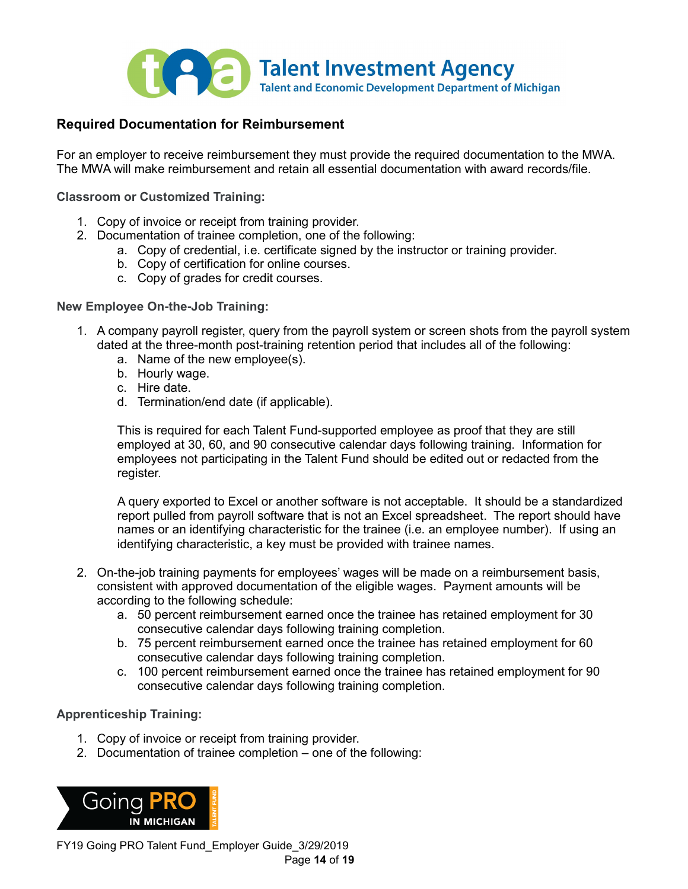

### **Required Documentation for Reimbursement**

For an employer to receive reimbursement they must provide the required documentation to the MWA. The MWA will make reimbursement and retain all essential documentation with award records/file.

**Classroom or Customized Training:**

- 1. Copy of invoice or receipt from training provider.
- 2. Documentation of trainee completion, one of the following:
	- a. Copy of credential, i.e. certificate signed by the instructor or training provider.
	- b. Copy of certification for online courses.
	- c. Copy of grades for credit courses.

#### **New Employee On-the-Job Training:**

- 1. A company payroll register, query from the payroll system or screen shots from the payroll system dated at the three-month post-training retention period that includes all of the following:
	- a. Name of the new employee(s).
	- b. Hourly wage.
	- c. Hire date.
	- d. Termination/end date (if applicable).

This is required for each Talent Fund-supported employee as proof that they are still employed at 30, 60, and 90 consecutive calendar days following training. Information for employees not participating in the Talent Fund should be edited out or redacted from the register.

A query exported to Excel or another software is not acceptable. It should be a standardized report pulled from payroll software that is not an Excel spreadsheet. The report should have names or an identifying characteristic for the trainee (i.e. an employee number). If using an identifying characteristic, a key must be provided with trainee names.

- 2. On-the-job training payments for employees' wages will be made on a reimbursement basis, consistent with approved documentation of the eligible wages. Payment amounts will be according to the following schedule:
	- a. 50 percent reimbursement earned once the trainee has retained employment for 30 consecutive calendar days following training completion.
	- b. 75 percent reimbursement earned once the trainee has retained employment for 60 consecutive calendar days following training completion.
	- c. 100 percent reimbursement earned once the trainee has retained employment for 90 consecutive calendar days following training completion.

#### **Apprenticeship Training:**

- 1. Copy of invoice or receipt from training provider.
- 2. Documentation of trainee completion one of the following:



FY19 Going PRO Talent Fund\_Employer Guide\_3/29/2019 Page **14** of **19**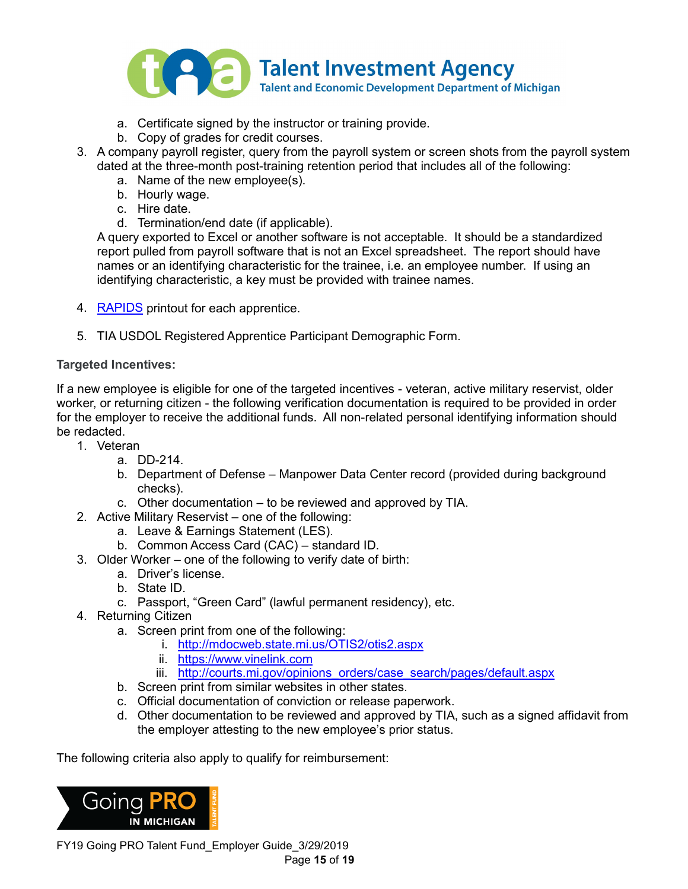

- a. Certificate signed by the instructor or training provide.
- b. Copy of grades for credit courses.
- 3. A company payroll register, query from the payroll system or screen shots from the payroll system dated at the three-month post-training retention period that includes all of the following:
	- a. Name of the new employee(s).
	- b. Hourly wage.
	- c. Hire date.
	- d. Termination/end date (if applicable).

A query exported to Excel or another software is not acceptable. It should be a standardized report pulled from payroll software that is not an Excel spreadsheet. The report should have names or an identifying characteristic for the trainee, i.e. an employee number. If using an identifying characteristic, a key must be provided with trainee names.

- 4. [RAPIDS](#page-17-7) printout for each apprentice.
- 5. TIA USDOL Registered Apprentice Participant Demographic Form.

#### **Targeted Incentives:**

If a new employee is eligible for one of the targeted incentives - veteran, active military reservist, older worker, or returning citizen - the following verification documentation is required to be provided in order for the employer to receive the additional funds. All non-related personal identifying information should be redacted.

- 1. Veteran
	- a. DD-214.
	- b. Department of Defense Manpower Data Center record (provided during background checks).
	- c. Other documentation to be reviewed and approved by TIA.
- 2. Active Military Reservist one of the following:
	- a. Leave & Earnings Statement (LES).
	- b. Common Access Card (CAC) standard ID.
- 3. Older Worker one of the following to verify date of birth:
	- a. Driver's license.
	- b. State ID.
	- c. Passport, "Green Card" (lawful permanent residency), etc.
- 4. Returning Citizen
	- a. Screen print from one of the following:
		- i. <http://mdocweb.state.mi.us/OTIS2/otis2.aspx>
		- ii. [https://www.vinelink.com](https://www.vinelink.com/)
		- iii. http://courts.mi.gov/opinions\_orders/case\_search/pages/default.aspx
	- b. Screen print from similar websites in other states.
	- c. Official documentation of conviction or release paperwork.
	- d. Other documentation to be reviewed and approved by TIA, such as a signed affidavit from the employer attesting to the new employee's prior status.

The following criteria also apply to qualify for reimbursement:



FY19 Going PRO Talent Fund\_Employer Guide\_3/29/2019 Page **15** of **19**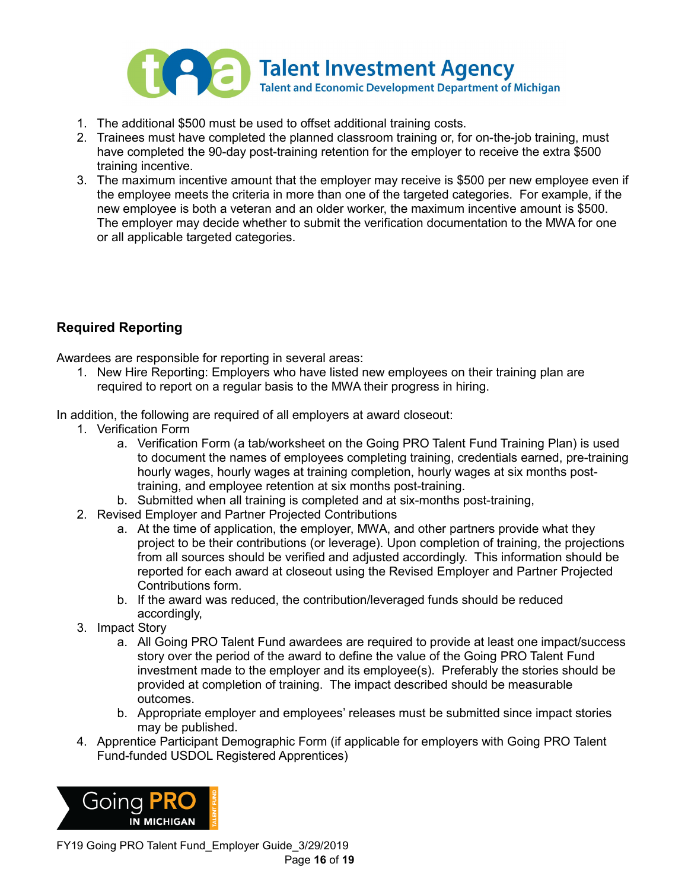

- 1. The additional \$500 must be used to offset additional training costs.
- 2. Trainees must have completed the planned classroom training or, for on-the-job training, must have completed the 90-day post-training retention for the employer to receive the extra \$500 training incentive.
- 3. The maximum incentive amount that the employer may receive is \$500 per new employee even if the employee meets the criteria in more than one of the targeted categories. For example, if the new employee is both a veteran and an older worker, the maximum incentive amount is \$500. The employer may decide whether to submit the verification documentation to the MWA for one or all applicable targeted categories.

# **Required Reporting**

Awardees are responsible for reporting in several areas:

1. New Hire Reporting: Employers who have listed new employees on their training plan are required to report on a regular basis to the MWA their progress in hiring.

In addition, the following are required of all employers at award closeout:

- 1. Verification Form
	- a. Verification Form (a tab/worksheet on the Going PRO Talent Fund Training Plan) is used to document the names of employees completing training, credentials earned, pre-training hourly wages, hourly wages at training completion, hourly wages at six months posttraining, and employee retention at six months post-training.
	- b. Submitted when all training is completed and at six-months post-training,
- 2. Revised Employer and Partner Projected Contributions
	- a. At the time of application, the employer, MWA, and other partners provide what they project to be their contributions (or leverage). Upon completion of training, the projections from all sources should be verified and adjusted accordingly. This information should be reported for each award at closeout using the Revised Employer and Partner Projected Contributions form.
	- b. If the award was reduced, the contribution/leveraged funds should be reduced accordingly,
- 3. Impact Story
	- a. All Going PRO Talent Fund awardees are required to provide at least one impact/success story over the period of the award to define the value of the Going PRO Talent Fund investment made to the employer and its employee(s). Preferably the stories should be provided at completion of training. The impact described should be measurable outcomes.
	- b. Appropriate employer and employees' releases must be submitted since impact stories may be published.
- 4. Apprentice Participant Demographic Form (if applicable for employers with Going PRO Talent Fund-funded USDOL Registered Apprentices)

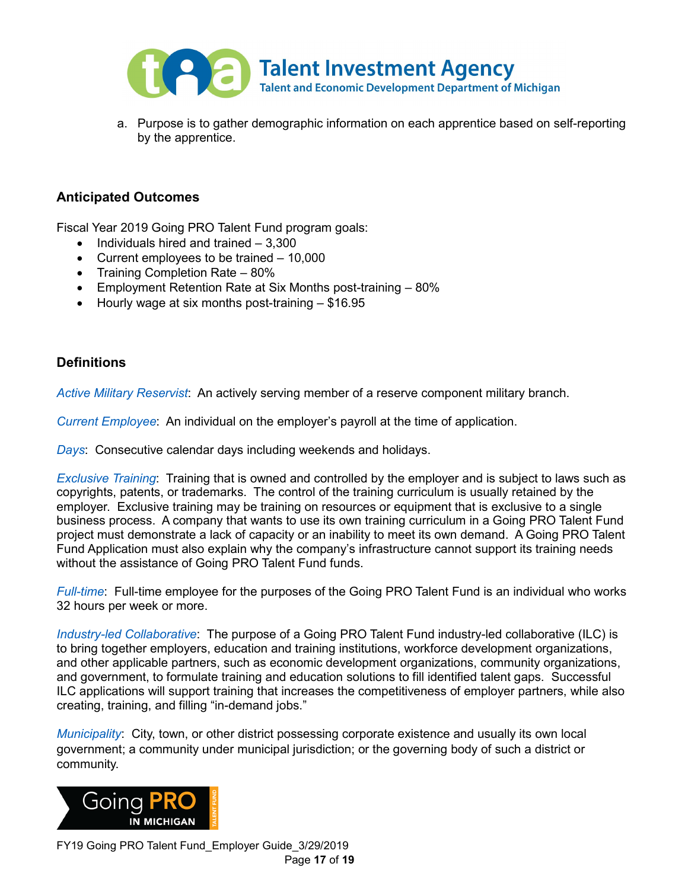

a. Purpose is to gather demographic information on each apprentice based on self-reporting by the apprentice.

### **Anticipated Outcomes**

Fiscal Year 2019 Going PRO Talent Fund program goals:

- Individuals hired and trained 3,300
- Current employees to be trained 10,000
- Training Completion Rate 80%
- Employment Retention Rate at Six Months post-training 80%
- Hourly wage at six months post-training \$16.95

#### **Definitions**

<span id="page-16-2"></span>*Active Military Reservist*: An actively serving member of a reserve component military branch.

<span id="page-16-0"></span>*Current Employee*: An individual on the employer's payroll at the time of application.

*Days*: Consecutive calendar days including weekends and holidays.

<span id="page-16-1"></span>*Exclusive Training*: Training that is owned and controlled by the employer and is subject to laws such as copyrights, patents, or trademarks. The control of the training curriculum is usually retained by the employer. Exclusive training may be training on resources or equipment that is exclusive to a single business process. A company that wants to use its own training curriculum in a Going PRO Talent Fund project must demonstrate a lack of capacity or an inability to meet its own demand. A Going PRO Talent Fund Application must also explain why the company's infrastructure cannot support its training needs without the assistance of Going PRO Talent Fund funds.

*Full-time*: Full-time employee for the purposes of the Going PRO Talent Fund is an individual who works 32 hours per week or more.

*Industry-led Collaborative*: The purpose of a Going PRO Talent Fund industry-led collaborative (ILC) is to bring together employers, education and training institutions, workforce development organizations, and other applicable partners, such as economic development organizations, community organizations, and government, to formulate training and education solutions to fill identified talent gaps. Successful ILC applications will support training that increases the competitiveness of employer partners, while also creating, training, and filling "in-demand jobs."

*Municipality*: City, town, or other district possessing corporate existence and usually its own local government; a community under municipal jurisdiction; or the governing body of such a district or community.



FY19 Going PRO Talent Fund\_Employer Guide\_3/29/2019 Page **17** of **19**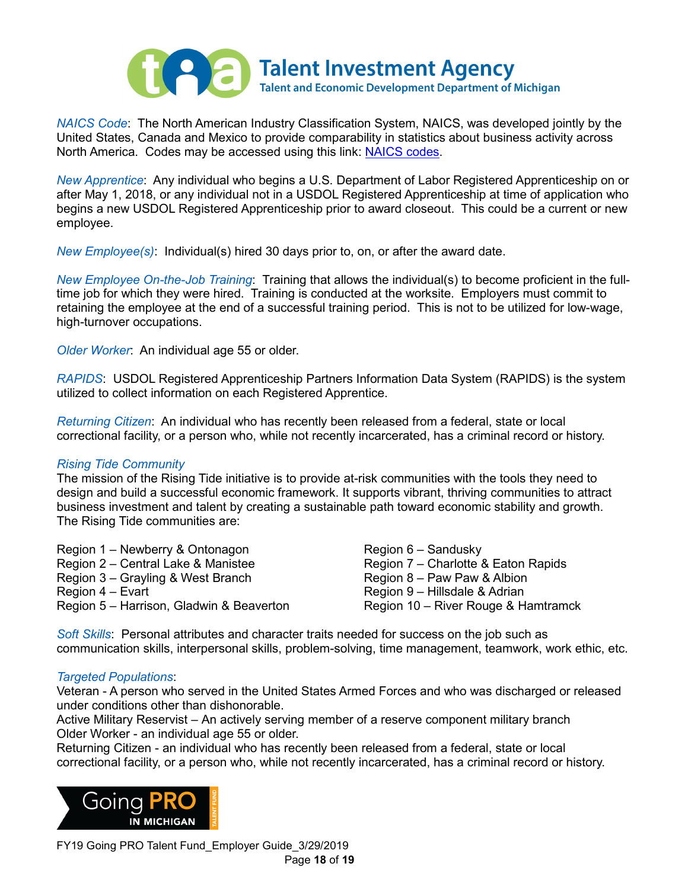

*NAICS Code*: The North American Industry Classification System, NAICS, was developed jointly by the United States, Canada and Mexico to provide comparability in statistics about business activity across North America. Codes may be accessed using this link: [NAICS codes.](http://www.census.gov/eos/www/naics/)

*New Apprentice*: Any individual who begins a U.S. Department of Labor Registered Apprenticeship on or after May 1, 2018, or any individual not in a USDOL Registered Apprenticeship at time of application who begins a new USDOL Registered Apprenticeship prior to award closeout. This could be a current or new employee.

<span id="page-17-1"></span>*New Employee(s)*: Individual(s) hired 30 days prior to, on, or after the award date.

<span id="page-17-3"></span>*New Employee On-the-Job Training*: Training that allows the individual(s) to become proficient in the fulltime job for which they were hired. Training is conducted at the worksite. Employers must commit to retaining the employee at the end of a successful training period. This is not to be utilized for low-wage, high-turnover occupations.

<span id="page-17-5"></span>*Older Worker*: An individual age 55 or older.

<span id="page-17-7"></span>*RAPIDS*: USDOL Registered Apprenticeship Partners Information Data System (RAPIDS) is the system utilized to collect information on each Registered Apprentice.

<span id="page-17-6"></span>*Returning Citizen*: An individual who has recently been released from a federal, state or local correctional facility, or a person who, while not recently incarcerated, has a criminal record or history.

#### <span id="page-17-2"></span>*Rising Tide Community*

The mission of the Rising Tide initiative is to provide at-risk communities with the tools they need to design and build a successful economic framework. It supports vibrant, thriving communities to attract business investment and talent by creating a sustainable path toward economic stability and growth. The Rising Tide communities are:

| Region 1 – Newberry & Ontonagon          | Region $6 -$ Sandusky               |
|------------------------------------------|-------------------------------------|
| Region 2 – Central Lake & Manistee       | Region 7 – Charlotte & Eaton Rapids |
| Region 3 – Grayling & West Branch        | Region 8 – Paw Paw & Albion         |
| Region 4 – Evart                         | Region 9 – Hillsdale & Adrian       |
| Region 5 – Harrison, Gladwin & Beaverton | Region 10 – River Rouge & Hamtramck |

<span id="page-17-4"></span>*Soft Skills*: Personal attributes and character traits needed for success on the job such as communication skills, interpersonal skills, problem-solving, time management, teamwork, work ethic, etc.

#### <span id="page-17-0"></span>*Targeted Populations*:

Veteran - A person who served in the United States Armed Forces and who was discharged or released under conditions other than dishonorable.

Active Military Reservist – An actively serving member of a reserve component military branch Older Worker - an individual age 55 or older.

Returning Citizen - an individual who has recently been released from a federal, state or local correctional facility, or a person who, while not recently incarcerated, has a criminal record or history.



FY19 Going PRO Talent Fund\_Employer Guide\_3/29/2019 Page **18** of **19**